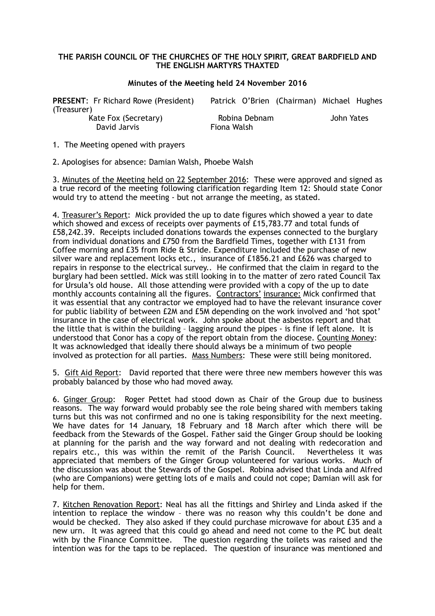## **THE PARISH COUNCIL OF THE CHURCHES OF THE HOLY SPIRIT, GREAT BARDFIELD AND THE ENGLISH MARTYRS THAXTED**

## **Minutes of the Meeting held 24 November 2016**

| <b>PRESENT:</b> Fr Richard Rowe (President) | Patrick O'Brien (Chairman) Michael Hughes |            |
|---------------------------------------------|-------------------------------------------|------------|
| (Treasurer)                                 |                                           |            |
| Kate Fox (Secretary)                        | Robina Debnam                             | John Yates |
| David Jarvis                                | Fiona Walsh                               |            |

1. The Meeting opened with prayers

2. Apologises for absence: Damian Walsh, Phoebe Walsh

3. Minutes of the Meeting held on 22 September 2016: These were approved and signed as a true record of the meeting following clarification regarding Item 12: Should state Conor would try to attend the meeting - but not arrange the meeting, as stated.

4. Treasurer's Report: Mick provided the up to date figures which showed a year to date which showed and excess of receipts over payments of £15,783.77 and total funds of £58,242.39. Receipts included donations towards the expenses connected to the burglary from individual donations and £750 from the Bardfield Times, together with £131 from Coffee morning and £35 from Ride & Stride. Expenditure included the purchase of new silver ware and replacement locks etc., insurance of £1856.21 and £626 was charged to repairs in response to the electrical survey.. He confirmed that the claim in regard to the burglary had been settled. Mick was still looking in to the matter of zero rated Council Tax for Ursula's old house. All those attending were provided with a copy of the up to date monthly accounts containing all the figures. Contractors' insurance: Mick confirmed that it was essential that any contractor we employed had to have the relevant insurance cover for public liability of between £2M and £5M depending on the work involved and 'hot spot' insurance in the case of electrical work. John spoke about the asbestos report and that the little that is within the building – lagging around the pipes - is fine if left alone. It is understood that Conor has a copy of the report obtain from the diocese. Counting Money: It was acknowledged that ideally there should always be a minimum of two people involved as protection for all parties. Mass Numbers: These were still being monitored.

5. Gift Aid Report: David reported that there were three new members however this was probably balanced by those who had moved away.

6. Ginger Group: Roger Pettet had stood down as Chair of the Group due to business reasons. The way forward would probably see the role being shared with members taking turns but this was not confirmed and no one is taking responsibility for the next meeting. We have dates for 14 January, 18 February and 18 March after which there will be feedback from the Stewards of the Gospel. Father said the Ginger Group should be looking at planning for the parish and the way forward and not dealing with redecoration and repairs etc., this was within the remit of the Parish Council. Nevertheless it was appreciated that members of the Ginger Group volunteered for various works. Much of the discussion was about the Stewards of the Gospel. Robina advised that Linda and Alfred (who are Companions) were getting lots of e mails and could not cope; Damian will ask for help for them.

7. Kitchen Renovation Report: Neal has all the fittings and Shirley and Linda asked if the intention to replace the window – there was no reason why this couldn't be done and would be checked. They also asked if they could purchase microwave for about £35 and a new urn. It was agreed that this could go ahead and need not come to the PC but dealt with by the Finance Committee. The question regarding the toilets was raised and the intention was for the taps to be replaced. The question of insurance was mentioned and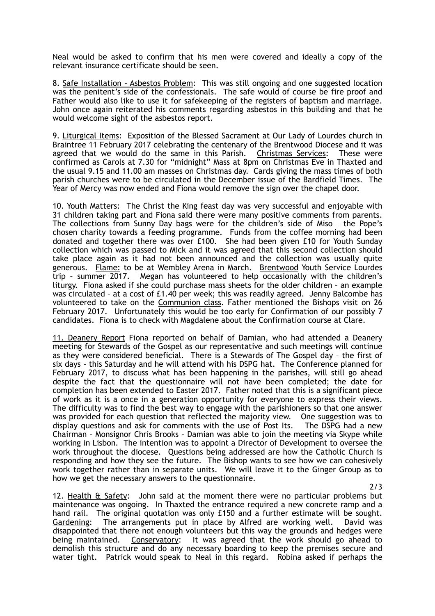Neal would be asked to confirm that his men were covered and ideally a copy of the relevant insurance certificate should be seen.

8. Safe Installation – Asbestos Problem: This was still ongoing and one suggested location was the penitent's side of the confessionals. The safe would of course be fire proof and Father would also like to use it for safekeeping of the registers of baptism and marriage. John once again reiterated his comments regarding asbestos in this building and that he would welcome sight of the asbestos report.

9. Liturgical Items: Exposition of the Blessed Sacrament at Our Lady of Lourdes church in Braintree 11 February 2017 celebrating the centenary of the Brentwood Diocese and it was agreed that we would do the same in this Parish. Christmas Services: These were confirmed as Carols at 7.30 for "midnight" Mass at 8pm on Christmas Eve in Thaxted and the usual 9.15 and 11.00 am masses on Christmas day. Cards giving the mass times of both parish churches were to be circulated in the December issue of the Bardfield Times. The Year of Mercy was now ended and Fiona would remove the sign over the chapel door.

10. Youth Matters: The Christ the King feast day was very successful and enjoyable with 31 children taking part and Fiona said there were many positive comments from parents. The collections from Sunny Day bags were for the children's side of Miso – the Pope's chosen charity towards a feeding programme. Funds from the coffee morning had been donated and together there was over £100. She had been given £10 for Youth Sunday collection which was passed to Mick and it was agreed that this second collection should take place again as it had not been announced and the collection was usually quite generous. Flame: to be at Wembley Arena in March. Brentwood Youth Service Lourdes trip – summer 2017. Megan has volunteered to help occasionally with the children's liturgy. Fiona asked if she could purchase mass sheets for the older children – an example was circulated – at a cost of £1.40 per week; this was readily agreed. Jenny Balcombe has volunteered to take on the Communion class. Father mentioned the Bishops visit on 26 February 2017. Unfortunately this would be too early for Confirmation of our possibly 7 candidates. Fiona is to check with Magdalene about the Confirmation course at Clare.

11. Deanery Report Fiona reported on behalf of Damian, who had attended a Deanery meeting for Stewards of the Gospel as our representative and such meetings will continue as they were considered beneficial. There is a Stewards of The Gospel day – the first of six days – this Saturday and he will attend with his DSPG hat. The Conference planned for February 2017, to discuss what has been happening in the parishes, will still go ahead despite the fact that the questionnaire will not have been completed; the date for completion has been extended to Easter 2017. Father noted that this is a significant piece of work as it is a once in a generation opportunity for everyone to express their views. The difficulty was to find the best way to engage with the parishioners so that one answer was provided for each question that reflected the majority view. One suggestion was to display questions and ask for comments with the use of Post Its. The DSPG had a new Chairman – Monsignor Chris Brooks – Damian was able to join the meeting via Skype while working in Lisbon. The intention was to appoint a Director of Development to oversee the work throughout the diocese. Questions being addressed are how the Catholic Church is responding and how they see the future. The Bishop wants to see how we can cohesively work together rather than in separate units. We will leave it to the Ginger Group as to how we get the necessary answers to the questionnaire.

12. Health & Safety: John said at the moment there were no particular problems but maintenance was ongoing. In Thaxted the entrance required a new concrete ramp and a hand rail. The original quotation was only £150 and a further estimate will be sought. Gardening: The arrangements put in place by Alfred are working well. David was disappointed that there not enough volunteers but this way the grounds and hedges were being maintained. Conservatory: It was agreed that the work should go ahead to demolish this structure and do any necessary boarding to keep the premises secure and water tight. Patrick would speak to Neal in this regard. Robina asked if perhaps the

2/3